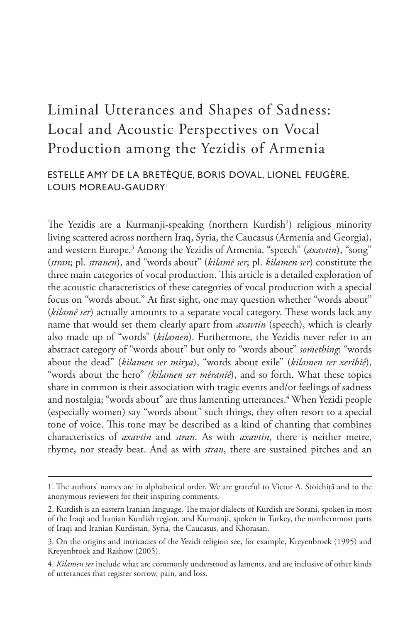# Liminal Utterances and Shapes of Sadness: Local and Acoustic Perspectives on Vocal Production among the Yezidis of Armenia

# ESTELLE AMY DE LA BRETÈQUE, BORIS DOVAL, LIONEL FEUGÈRE, LOUIS MOREAU-GAUDRY<sup>1</sup>

The Yezidis are a Kurmanji-speaking (northern Kurdish<sup>2</sup>) religious minority living scattered across northern Iraq, Syria, the Caucasus (Armenia and Georgia), and western Europe.<sup>3</sup> Among the Yezidis of Armenia, "speech" (*axavtin*), "song" (*stran*; pl. *stranen*), and "words about" (*kilamê ser*; pl. *kilamen ser*) constitute the three main categories of vocal production. This article is a detailed exploration of the acoustic characteristics of these categories of vocal production with a special focus on "words about." At first sight, one may question whether "words about" (*kilamê ser*) actually amounts to a separate vocal category. These words lack any name that would set them clearly apart from *axavtin* (speech), which is clearly also made up of "words" (*kilamen*). Furthermore, the Yezidis never refer to an abstract category of "words about" but only to "words about" *something*: "words about the dead" (*kilamen ser mirya*), "words about exile" (*kilamen ser xerîbîê*), "words about the hero" *(kilamen ser mêranîê*), and so forth. What these topics share in common is their association with tragic events and/or feelings of sadness and nostalgia; "words about" are thus lamenting utterances.<sup>4</sup> When Yezidi people (especially women) say "words about" such things, they often resort to a special tone of voice. This tone may be described as a kind of chanting that combines characteristics of *axavtin* and *stran*. As with *axavtin*, there is neither metre, rhyme, nor steady beat. And as with *stran*, there are sustained pitches and an

<sup>1.</sup> The authors' names are in alphabetical order. We are grateful to Victor A. Stoichiţă and to the anonymous reviewers for their inspiring comments.

<sup>2.</sup> Kurdish is an eastern Iranian language. The major dialects of Kurdish are Sorani, spoken in most of the Iraqi and Iranian Kurdish region, and Kurmanji, spoken in Turkey, the northernmost parts of Iraqi and Iranian Kurdistan, Syria, the Caucasus, and Khorasan.

<sup>3.</sup> On the origins and intricacies of the Yezidi religion see, for example, Kreyenbroek (1995) and Kreyenbroek and Rashow (2005).

<sup>4.</sup> *Kilamen ser* include what are commonly understood as laments, and are inclusive of other kinds of utterances that register sorrow, pain, and loss.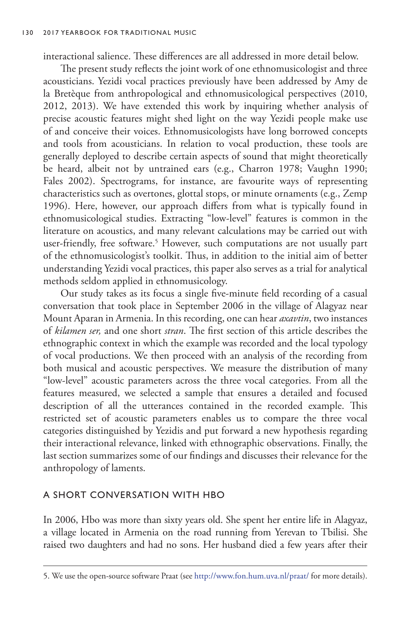interactional salience. These differences are all addressed in more detail below.

The present study reflects the joint work of one ethnomusicologist and three acousticians. Yezidi vocal practices previously have been addressed by Amy de la Bretèque from anthropological and ethnomusicological perspectives (2010, 2012, 2013). We have extended this work by inquiring whether analysis of precise acoustic features might shed light on the way Yezidi people make use of and conceive their voices. Ethnomusicologists have long borrowed concepts and tools from acousticians. In relation to vocal production, these tools are generally deployed to describe certain aspects of sound that might theoretically be heard, albeit not by untrained ears (e.g., Charron 1978; Vaughn 1990; Fales 2002). Spectrograms, for instance, are favourite ways of representing characteristics such as overtones, glottal stops, or minute ornaments (e.g., Zemp 1996). Here, however, our approach differs from what is typically found in ethnomusicological studies. Extracting "low-level" features is common in the literature on acoustics, and many relevant calculations may be carried out with user-friendly, free software.<sup>5</sup> However, such computations are not usually part of the ethnomusicologist's toolkit. Thus, in addition to the initial aim of better understanding Yezidi vocal practices, this paper also serves as a trial for analytical methods seldom applied in ethnomusicology.

Our study takes as its focus a single five-minute field recording of a casual conversation that took place in September 2006 in the village of Alagyaz near Mount Aparan in Armenia. In this recording, one can hear *axavtin*, two instances of *kilamen ser,* and one short *stran*. The first section of this article describes the ethnographic context in which the example was recorded and the local typology of vocal productions. We then proceed with an analysis of the recording from both musical and acoustic perspectives. We measure the distribution of many "low-level" acoustic parameters across the three vocal categories. From all the features measured, we selected a sample that ensures a detailed and focused description of all the utterances contained in the recorded example. This restricted set of acoustic parameters enables us to compare the three vocal categories distinguished by Yezidis and put forward a new hypothesis regarding their interactional relevance, linked with ethnographic observations. Finally, the last section summarizes some of our findings and discusses their relevance for the anthropology of laments.

## A SHORT CONVERSATION WITH HBO

In 2006, Hbo was more than sixty years old. She spent her entire life in Alagyaz, a village located in Armenia on the road running from Yerevan to Tbilisi. She raised two daughters and had no sons. Her husband died a few years after their

<sup>5.</sup> We use the open-source software Praat (see<http://www.fon.hum.uva.nl/praat/>for more details).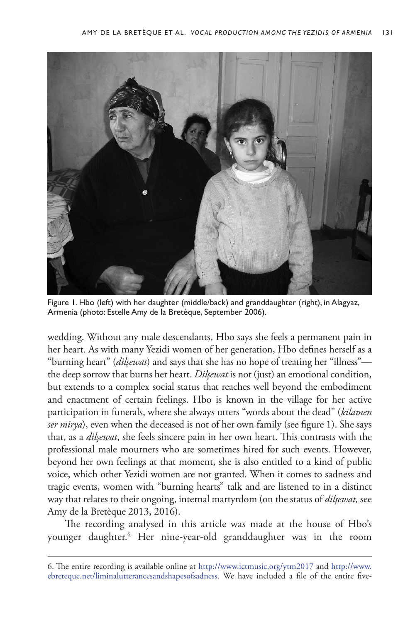

Figure 1. Hbo (left) with her daughter (middle/back) and granddaughter (right), in Alagyaz, Armenia (photo: Estelle Amy de la Bretèque, September 2006).

wedding. Without any male descendants, Hbo says she feels a permanent pain in her heart. As with many Yezidi women of her generation, Hbo defines herself as a "burning heart" (*dilşewat*) and says that she has no hope of treating her "illness" the deep sorrow that burns her heart. *Dilşewat* is not (just) an emotional condition, but extends to a complex social status that reaches well beyond the embodiment and enactment of certain feelings. Hbo is known in the village for her active participation in funerals, where she always utters "words about the dead" (*kilamen ser mirya*), even when the deceased is not of her own family (see figure 1). She says that, as a *dilşewat*, she feels sincere pain in her own heart. This contrasts with the professional male mourners who are sometimes hired for such events. However, beyond her own feelings at that moment, she is also entitled to a kind of public voice, which other Yezidi women are not granted. When it comes to sadness and tragic events, women with "burning hearts" talk and are listened to in a distinct way that relates to their ongoing, internal martyrdom (on the status of *dilşewat,* see Amy de la Bretèque 2013, 2016).

The recording analysed in this article was made at the house of Hbo's younger daughter.6 Her nine-year-old granddaughter was in the room

<sup>6.</sup> The entire recording is available online at <http://www.ictmusic.org/ytm2017> and [http://www.](http://www.ebreteque.net/liminalutterancesandshapesofsadness) [ebreteque.net/liminalutterancesandshapesofsadness](http://www.ebreteque.net/liminalutterancesandshapesofsadness). We have included a file of the entire five-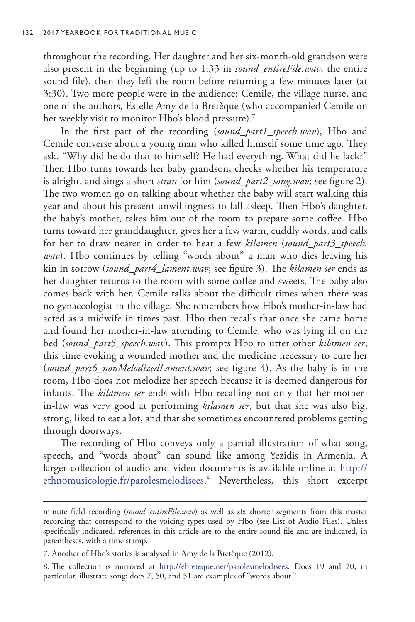throughout the recording. Her daughter and her six-month-old grandson were also present in the beginning (up to 1:33 in *sound\_entireFile.wav*, the entire sound file), then they left the room before returning a few minutes later (at 3:30). Two more people were in the audience: Cemile, the village nurse, and one of the authors, Estelle Amy de la Bretèque (who accompanied Cemile on her weekly visit to monitor Hbo's blood pressure).<sup>7</sup>

In the first part of the recording (*sound\_part1\_speech.wav*), Hbo and Cemile converse about a young man who killed himself some time ago. They ask, "Why did he do that to himself? He had everything. What did he lack?" Then Hbo turns towards her baby grandson, checks whether his temperature is alright, and sings a short *stran* for him (*sound\_part2\_song.wav*; see figure 2). The two women go on talking about whether the baby will start walking this year and about his present unwillingness to fall asleep. Then Hbo's daughter, the baby's mother, takes him out of the room to prepare some coffee. Hbo turns toward her granddaughter, gives her a few warm, cuddly words, and calls for her to draw nearer in order to hear a few *kilamen* (*sound\_part3\_speech. wav*). Hbo continues by telling "words about" a man who dies leaving his kin in sorrow (*sound\_part4\_lament.wav*; see figure 3). The *kilamen ser* ends as her daughter returns to the room with some coffee and sweets. The baby also comes back with her. Cemile talks about the difficult times when there was no gynaecologist in the village. She remembers how Hbo's mother-in-law had acted as a midwife in times past. Hbo then recalls that once she came home and found her mother-in-law attending to Cemile, who was lying ill on the bed (*sound\_part5\_speech.wav*). This prompts Hbo to utter other *kilamen ser*, this time evoking a wounded mother and the medicine necessary to cure her (*sound\_part6\_nonMelodizedLament.wav*; see figure 4). As the baby is in the room, Hbo does not melodize her speech because it is deemed dangerous for infants. The *kilamen ser* ends with Hbo recalling not only that her motherin-law was very good at performing *kilamen ser*, but that she was also big, strong, liked to eat a lot, and that she sometimes encountered problems getting through doorways.

The recording of Hbo conveys only a partial illustration of what song, speech, and "words about" can sound like among Yezidis in Armenia. A larger collection of audio and video documents is available online at [http://](http://ethnomusicologie.fr/parolesmelodisees) [ethnomusicologie.fr/parolesmelodisees](http://ethnomusicologie.fr/parolesmelodisees). 8 Nevertheless, this short excerpt

minute field recording (*sound\_entireFile.wav*) as well as six shorter segments from this master recording that correspond to the voicing types used by Hbo (see List of Audio Files). Unless specifically indicated, references in this article are to the entire sound file and are indicated, in parentheses, with a time stamp.

<sup>7.</sup> Another of Hbo's stories is analysed in Amy de la Bretèque (2012).

<sup>8.</sup> The collection is mirrored at [http://ebreteque.net/parolesmelodisees.](http://ebreteque.net/parolesmelodisees) Docs 19 and 20, in particular, illustrate song; docs 7, 50, and 51 are examples of "words about."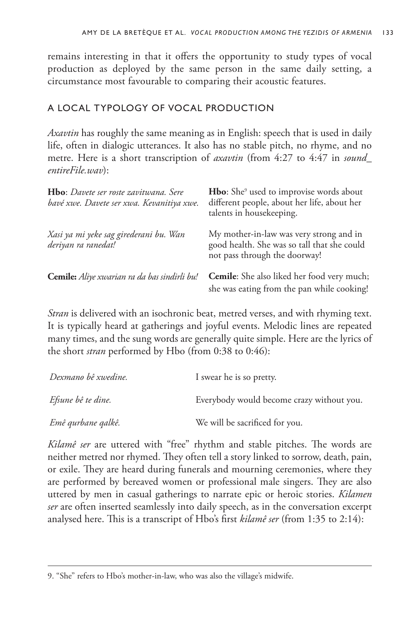remains interesting in that it offers the opportunity to study types of vocal production as deployed by the same person in the same daily setting, a circumstance most favourable to comparing their acoustic features.

# A LOCAL TYPOLOGY OF VOCAL PRODUCTION

*Axavtin* has roughly the same meaning as in English: speech that is used in daily life, often in dialogic utterances. It also has no stable pitch, no rhyme, and no metre. Here is a short transcription of *axavtin* (from 4:27 to 4:47 in *sound\_ entireFile.wav*):

| Hbo: Davete ser roste zavitwana. Sere<br>bavé xwe. Davete ser xwa. Kevanitiya xwe. | <b>Hbo:</b> She <sup>9</sup> used to improvise words about<br>different people, about her life, about her<br>talents in housekeeping. |
|------------------------------------------------------------------------------------|---------------------------------------------------------------------------------------------------------------------------------------|
| Xasi ya mi yeke sag girederani bu. Wan<br>deriyan ra ranedat!                      | My mother-in-law was very strong and in<br>good health. She was so tall that she could<br>not pass through the doorway!               |
| Cemile: Aliye xwarian ra da bas sindirli bu!                                       | Cemile: She also liked her food very much;<br>she was eating from the pan while cooking!                                              |

*Stran* is delivered with an isochronic beat, metred verses, and with rhyming text. It is typically heard at gatherings and joyful events. Melodic lines are repeated many times, and the sung words are generally quite simple. Here are the lyrics of the short *stran* performed by Hbo (from 0:38 to 0:46):

| Dexmano bê xwedine.       | I swear he is so pretty.                  |
|---------------------------|-------------------------------------------|
| <i>Efsune bê te dine.</i> | Everybody would become crazy without you. |
| Emê qurbane qalkê.        | We will be sacrificed for you.            |

*Kilamê ser* are uttered with "free" rhythm and stable pitches. The words are neither metred nor rhymed. They often tell a story linked to sorrow, death, pain, or exile. They are heard during funerals and mourning ceremonies, where they are performed by bereaved women or professional male singers. They are also uttered by men in casual gatherings to narrate epic or heroic stories. *Kilamen ser* are often inserted seamlessly into daily speech, as in the conversation excerpt analysed here. This is a transcript of Hbo's first *kilamê ser* (from 1:35 to 2:14):

<sup>9.</sup> "She" refers to Hbo's mother-in-law, who was also the village's midwife.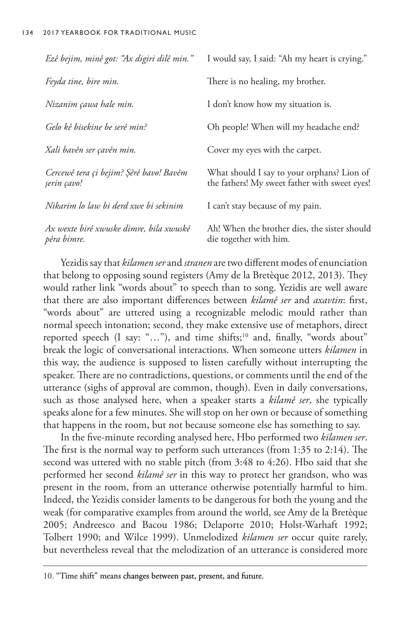| Ezê bejim, minê got: "Ax digiri dilê min."             | I would say, I said: "Ah my heart is crying."                                               |  |
|--------------------------------------------------------|---------------------------------------------------------------------------------------------|--|
| Feyda tine, bire min.                                  | There is no healing, my brother.                                                            |  |
| Nizanim çawa hale min.                                 | I don't know how my situation is.                                                           |  |
| Gelo kê bisekine be serê min?                          | Oh people! When will my headache end?                                                       |  |
| Xali bavên ser çavên min.                              | Cover my eyes with the carpet.                                                              |  |
| Cercewê tera çi bejim? Şêrê bavo! Bavêm<br>şerin çavo! | What should I say to your orphans? Lion of<br>the fathers! My sweet father with sweet eyes! |  |
| Nikarim lo law bi derd xwe bi sekinim                  | I can't stay because of my pain.                                                            |  |
| Ax wexte birê xwuske dimre, bila xwuskê<br>pêra bimre. | Ah! When the brother dies, the sister should<br>die together with him.                      |  |

Yezidis say that *kilamen ser* and *stranen* are two different modes of enunciation that belong to opposing sound registers (Amy de la Bretèque 2012, 2013). They would rather link "words about" to speech than to song. Yezidis are well aware that there are also important differences between *kilamê ser* and *axavtin*: first, "words about" are uttered using a recognizable melodic mould rather than normal speech intonation; second, they make extensive use of metaphors, direct reported speech (I say: "..."), and time shifts;<sup>10</sup> and, finally, "words about" break the logic of conversational interactions. When someone utters *kilamen* in this way, the audience is supposed to listen carefully without interrupting the speaker. There are no contradictions, questions, or comments until the end of the utterance (sighs of approval are common, though). Even in daily conversations, such as those analysed here, when a speaker starts a *kilamê ser*, she typically speaks alone for a few minutes. She will stop on her own or because of something that happens in the room, but not because someone else has something to say.

In the five-minute recording analysed here, Hbo performed two *kilamen ser*. The first is the normal way to perform such utterances (from 1:35 to 2:14). The second was uttered with no stable pitch (from 3:48 to 4:26). Hbo said that she performed her second *kilamê ser* in this way to protect her grandson, who was present in the room, from an utterance otherwise potentially harmful to him. Indeed, the Yezidis consider laments to be dangerous for both the young and the weak (for comparative examples from around the world, see Amy de la Bretèque 2005; Andreesco and Bacou 1986; Delaporte 2010; Holst-Warhaft 1992; Tolbert 1990; and Wilce 1999). Unmelodized *kilamen ser* occur quite rarely, but nevertheless reveal that the melodization of an utterance is considered more

<sup>10. &</sup>quot;Time shift" means changes between past, present, and future.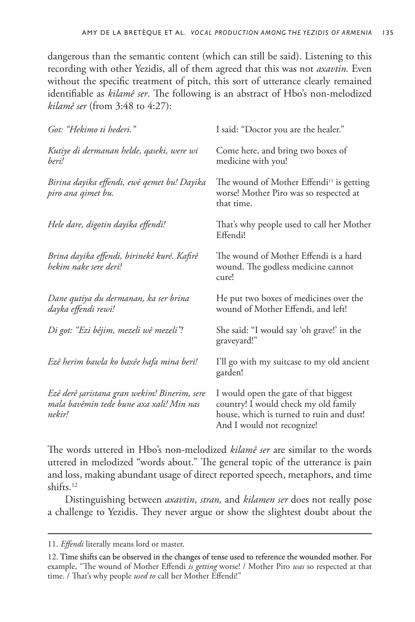dangerous than the semantic content (which can still be said). Listening to this recording with other Yezidis, all of them agreed that this was not *axavtin.* Even without the specific treatment of pitch, this sort of utterance clearly remained identifiable as *kilamê ser*. The following is an abstract of Hbo's non-melodized *kilamê ser* (from 3:48 to 4:27):

| Got: "Hekimo ti hederi."                                                                           | I said: "Doctor you are the healer."                                                                                                                    |  |  |
|----------------------------------------------------------------------------------------------------|---------------------------------------------------------------------------------------------------------------------------------------------------------|--|--|
| Kutiye di dermanan helde, qaseki, were wi<br>beri!                                                 | Come here, and bring two boxes of<br>medicine with you!                                                                                                 |  |  |
| Birina dayika effendi, ewê qemet bu! Dayika<br>piro ana qimet bu.                                  | The wound of Mother Effendi <sup>11</sup> is getting<br>worse! Mother Piro was so respected at<br>that time.                                            |  |  |
| Hele dare, digotin dayika effendi!                                                                 | That's why people used to call her Mother<br>Effendi!                                                                                                   |  |  |
| Brina dayika effendi, birinekê kuré. Kafirê<br>hekim nake sere deri!                               | The wound of Mother Effendi is a hard<br>wound. The godless medicine cannot<br>cure!                                                                    |  |  |
| Dane qutiya du dermanan, ka ser brina<br>dayka effendi rewi!                                       | He put two boxes of medicines over the<br>wound of Mother Effendi, and left!                                                                            |  |  |
| Di got: "Ezi bêjim, mezeli wê mezeli"!                                                             | She said: "I would say 'oh grave!' in the<br>graveyard!"                                                                                                |  |  |
| Ezê herim bawla ko baxêe hafa mina beri!                                                           | I'll go with my suitcase to my old ancient<br>garden!                                                                                                   |  |  |
| Ezê derê şaristana gran wekim! Binerim, sere<br>mala bavêmin tede bune axa xali! Min nas<br>nekir! | I would open the gate of that biggest<br>country! I would check my old family<br>house, which is turned to ruin and dust!<br>And I would not recognize! |  |  |

The words uttered in Hbo's non-melodized *kilamê ser* are similar to the words uttered in melodized "words about." The general topic of the utterance is pain and loss, making abundant usage of direct reported speech, metaphors, and time shifts.12

Distinguishing between *axavtin*, *stran,* and *kilamen ser* does not really pose a challenge to Yezidis. They never argue or show the slightest doubt about the

<sup>11.</sup> *Effendi* literally means lord or master.

<sup>12.</sup> Time shifts can be observed in the changes of tense used to reference the wounded mother. For example, "The wound of Mother Effendi *is getting* worse! / Mother Piro *was* so respected at that time. / That's why people *used to* call her Mother Effendi!"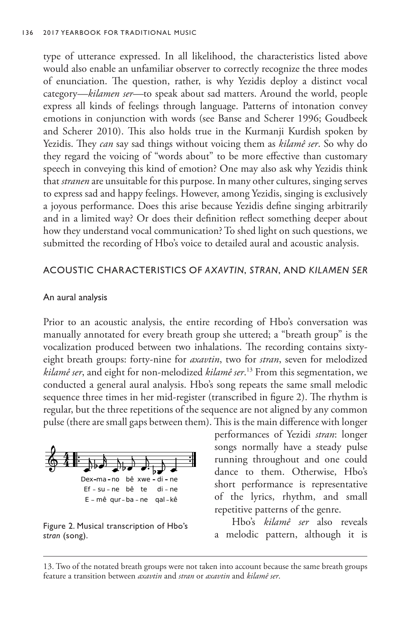type of utterance expressed. In all likelihood, the characteristics listed above would also enable an unfamiliar observer to correctly recognize the three modes of enunciation. The question, rather, is why Yezidis deploy a distinct vocal category*—kilamen ser—*to speak about sad matters. Around the world, people express all kinds of feelings through language. Patterns of intonation convey emotions in conjunction with words (see Banse and Scherer 1996; Goudbeek and Scherer 2010). This also holds true in the Kurmanji Kurdish spoken by Yezidis. They *can* say sad things without voicing them as *kilamê ser*. So why do they regard the voicing of "words about" to be more effective than customary speech in conveying this kind of emotion? One may also ask why Yezidis think that *stranen* are unsuitable for this purpose. In many other cultures, singing serves to express sad and happy feelings. However, among Yezidis, singing is exclusively a joyous performance. Does this arise because Yezidis define singing arbitrarily and in a limited way? Or does their definition reflect something deeper about how they understand vocal communication? To shed light on such questions, we submitted the recording of Hbo's voice to detailed aural and acoustic analysis.

## ACOUSTIC CHARACTERISTICS OF *AXAVTIN*, *STRAN*, AND *KILAMEN SER*

## An aural analysis

Prior to an acoustic analysis, the entire recording of Hbo's conversation was manually annotated for every breath group she uttered; a "breath group" is the vocalization produced between two inhalations. The recording contains sixtyeight breath groups: forty-nine for *axavtin*, two for *stran*, seven for melodized *kilamê ser*, and eight for non-melodized *kilamê ser*. 13 From this segmentation, we conducted a general aural analysis. Hbo's song repeats the same small melodic sequence three times in her mid-register (transcribed in figure 2). The rhythm is regular, but the three repetitions of the sequence are not aligned by any common pulse (there are small gaps between them). This is the main difference with longer



Figure 2. Musical transcription of Hbo's *stran* (song).

performances of Yezidi *stran*: longer songs normally have a steady pulse running throughout and one could dance to them. Otherwise, Hbo's short performance is representative of the lyrics, rhythm, and small repetitive patterns of the genre.

Hbo's *kilamê ser* also reveals a melodic pattern, although it is

<sup>13.</sup> Two of the notated breath groups were not taken into account because the same breath groups feature a transition between *axavtin* and *stran* or *axavtin* and *kilamê ser*.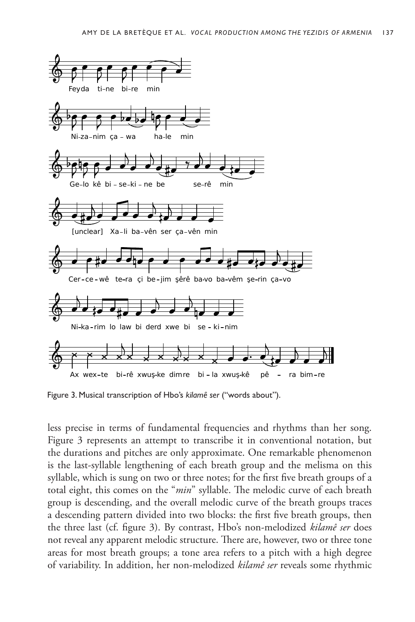

Figure 3. Musical transcription of Hbo's *kilamê ser* ("words about").

less precise in terms of fundamental frequencies and rhythms than her song. Figure 3 represents an attempt to transcribe it in conventional notation, but the durations and pitches are only approximate. One remarkable phenomenon is the last-syllable lengthening of each breath group and the melisma on this syllable, which is sung on two or three notes; for the first five breath groups of a total eight, this comes on the "*min*" syllable. The melodic curve of each breath group is descending, and the overall melodic curve of the breath groups traces a descending pattern divided into two blocks: the first five breath groups, then the three last (cf. figure 3). By contrast, Hbo's non-melodized *kilamê ser* does not reveal any apparent melodic structure. There are, however, two or three tone areas for most breath groups; a tone area refers to a pitch with a high degree of variability. In addition, her non-melodized *kilamê ser* reveals some rhythmic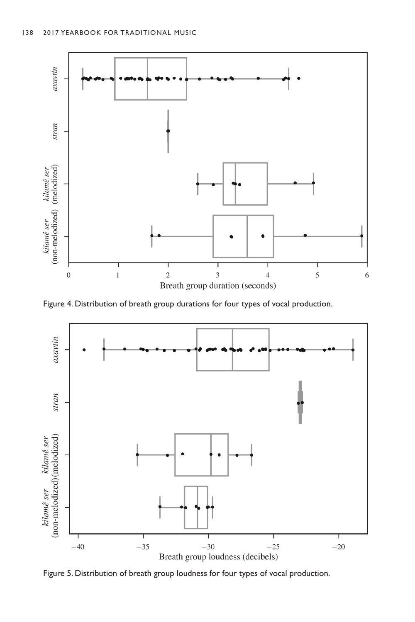

Figure 4. Distribution of breath group durations for four types of vocal production.



Figure 5. Distribution of breath group loudness for four types of vocal production.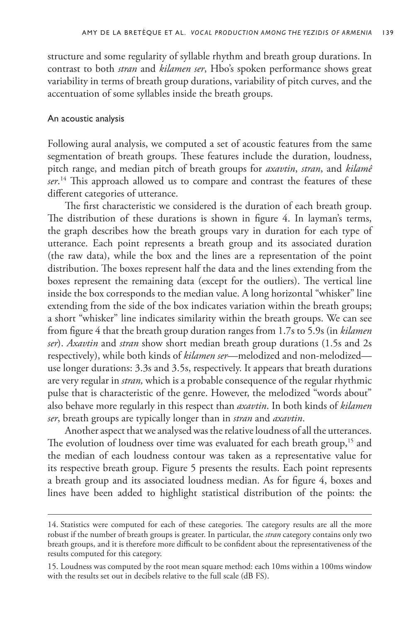structure and some regularity of syllable rhythm and breath group durations. In contrast to both *stran* and *kilamen ser*, Hbo's spoken performance shows great variability in terms of breath group durations, variability of pitch curves, and the accentuation of some syllables inside the breath groups.

## An acoustic analysis

Following aural analysis, we computed a set of acoustic features from the same segmentation of breath groups. These features include the duration, loudness, pitch range, and median pitch of breath groups for *axavtin*, *stran*, and *kilamê ser*. 14 This approach allowed us to compare and contrast the features of these different categories of utterance.

The first characteristic we considered is the duration of each breath group. The distribution of these durations is shown in figure 4. In layman's terms, the graph describes how the breath groups vary in duration for each type of utterance. Each point represents a breath group and its associated duration (the raw data), while the box and the lines are a representation of the point distribution. The boxes represent half the data and the lines extending from the boxes represent the remaining data (except for the outliers). The vertical line inside the box corresponds to the median value. A long horizontal "whisker" line extending from the side of the box indicates variation within the breath groups; a short "whisker" line indicates similarity within the breath groups. We can see from figure 4 that the breath group duration ranges from 1.7s to 5.9s (in *kilamen ser*). *Axavtin* and *stran* show short median breath group durations (1.5s and 2s respectively), while both kinds of *kilamen ser*—melodized and non-melodized use longer durations: 3.3s and 3.5s, respectively. It appears that breath durations are very regular in *stran,* which is a probable consequence of the regular rhythmic pulse that is characteristic of the genre. However, the melodized "words about" also behave more regularly in this respect than *axavtin*. In both kinds of *kilamen ser*, breath groups are typically longer than in *stran* and *axavtin*.

Another aspect that we analysed was the relative loudness of all the utterances. The evolution of loudness over time was evaluated for each breath group,<sup>15</sup> and the median of each loudness contour was taken as a representative value for its respective breath group. Figure 5 presents the results. Each point represents a breath group and its associated loudness median. As for figure 4, boxes and lines have been added to highlight statistical distribution of the points: the

<sup>14.</sup> Statistics were computed for each of these categories. The category results are all the more robust if the number of breath groups is greater. In particular, the *stran* category contains only two breath groups, and it is therefore more difficult to be confident about the representativeness of the results computed for this category.

<sup>15.</sup> Loudness was computed by the root mean square method: each 10ms within a 100ms window with the results set out in decibels relative to the full scale (dB FS).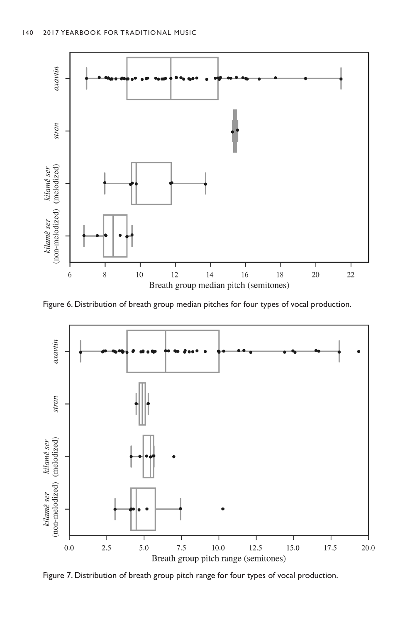

Figure 6. Distribution of breath group median pitches for four types of vocal production.



Figure 7. Distribution of breath group pitch range for four types of vocal production.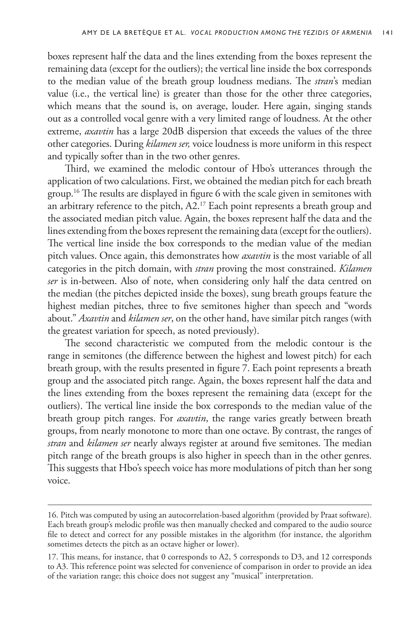boxes represent half the data and the lines extending from the boxes represent the remaining data (except for the outliers); the vertical line inside the box corresponds to the median value of the breath group loudness medians. The *stran*'s median value (i.e., the vertical line) is greater than those for the other three categories, which means that the sound is, on average, louder. Here again, singing stands out as a controlled vocal genre with a very limited range of loudness. At the other extreme, *axavtin* has a large 20dB dispersion that exceeds the values of the three other categories. During *kilamen ser,* voice loudness is more uniform in this respect and typically softer than in the two other genres.

Third, we examined the melodic contour of Hbo's utterances through the application of two calculations. First, we obtained the median pitch for each breath group.16 The results are displayed in figure 6 with the scale given in semitones with an arbitrary reference to the pitch, A2.<sup>17</sup> Each point represents a breath group and the associated median pitch value. Again, the boxes represent half the data and the lines extending from the boxes represent the remaining data (except for the outliers). The vertical line inside the box corresponds to the median value of the median pitch values. Once again, this demonstrates how *axavtin* is the most variable of all categories in the pitch domain, with *stran* proving the most constrained. *Kilamen ser* is in-between. Also of note, when considering only half the data centred on the median (the pitches depicted inside the boxes), sung breath groups feature the highest median pitches, three to five semitones higher than speech and "words about." *Axavtin* and *kilamen ser*, on the other hand, have similar pitch ranges (with the greatest variation for speech, as noted previously).

The second characteristic we computed from the melodic contour is the range in semitones (the difference between the highest and lowest pitch) for each breath group, with the results presented in figure 7. Each point represents a breath group and the associated pitch range. Again, the boxes represent half the data and the lines extending from the boxes represent the remaining data (except for the outliers). The vertical line inside the box corresponds to the median value of the breath group pitch ranges. For *axavtin*, the range varies greatly between breath groups, from nearly monotone to more than one octave. By contrast, the ranges of *stran* and *kilamen ser* nearly always register at around five semitones. The median pitch range of the breath groups is also higher in speech than in the other genres. This suggests that Hbo's speech voice has more modulations of pitch than her song voice.

<sup>16.</sup> Pitch was computed by using an autocorrelation-based algorithm (provided by Praat software). Each breath group's melodic profile was then manually checked and compared to the audio source file to detect and correct for any possible mistakes in the algorithm (for instance, the algorithm sometimes detects the pitch as an octave higher or lower).

<sup>17.</sup> This means, for instance, that 0 corresponds to A2, 5 corresponds to D3, and 12 corresponds to A3. This reference point was selected for convenience of comparison in order to provide an idea of the variation range; this choice does not suggest any "musical" interpretation.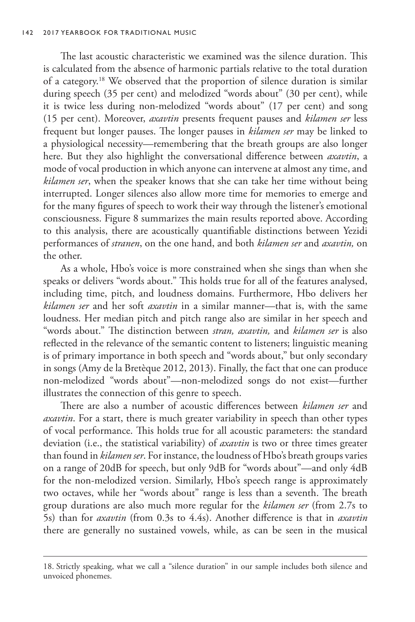The last acoustic characteristic we examined was the silence duration. This is calculated from the absence of harmonic partials relative to the total duration of a category.18 We observed that the proportion of silence duration is similar during speech (35 per cent) and melodized "words about" (30 per cent), while it is twice less during non-melodized "words about" (17 per cent) and song (15 per cent). Moreover, *axavtin* presents frequent pauses and *kilamen ser* less frequent but longer pauses. The longer pauses in *kilamen ser* may be linked to a physiological necessity—remembering that the breath groups are also longer here. But they also highlight the conversational difference between *axavtin*, a mode of vocal production in which anyone can intervene at almost any time, and *kilamen ser*, when the speaker knows that she can take her time without being interrupted. Longer silences also allow more time for memories to emerge and for the many figures of speech to work their way through the listener's emotional consciousness. Figure 8 summarizes the main results reported above. According to this analysis, there are acoustically quantifiable distinctions between Yezidi performances of *stranen*, on the one hand, and both *kilamen ser* and *axavtin,* on the other.

As a whole, Hbo's voice is more constrained when she sings than when she speaks or delivers "words about." This holds true for all of the features analysed, including time, pitch, and loudness domains. Furthermore, Hbo delivers her *kilamen ser* and her soft *axavtin* in a similar manner—that is, with the same loudness. Her median pitch and pitch range also are similar in her speech and "words about." The distinction between *stran, axavtin,* and *kilamen ser* is also reflected in the relevance of the semantic content to listeners; linguistic meaning is of primary importance in both speech and "words about," but only secondary in songs (Amy de la Bretèque 2012, 2013). Finally, the fact that one can produce non-melodized "words about"—non-melodized songs do not exist—further illustrates the connection of this genre to speech.

There are also a number of acoustic differences between *kilamen ser* and *axavtin*. For a start, there is much greater variability in speech than other types of vocal performance. This holds true for all acoustic parameters: the standard deviation (i.e., the statistical variability) of *axavtin* is two or three times greater than found in *kilamen ser*. For instance, the loudness of Hbo's breath groups varies on a range of 20dB for speech, but only 9dB for "words about"—and only 4dB for the non-melodized version. Similarly, Hbo's speech range is approximately two octaves, while her "words about" range is less than a seventh. The breath group durations are also much more regular for the *kilamen ser* (from 2.7s to 5s) than for *axavtin* (from 0.3s to 4.4s). Another difference is that in *axavtin* there are generally no sustained vowels, while, as can be seen in the musical

<sup>18.</sup> Strictly speaking, what we call a "silence duration" in our sample includes both silence and unvoiced phonemes.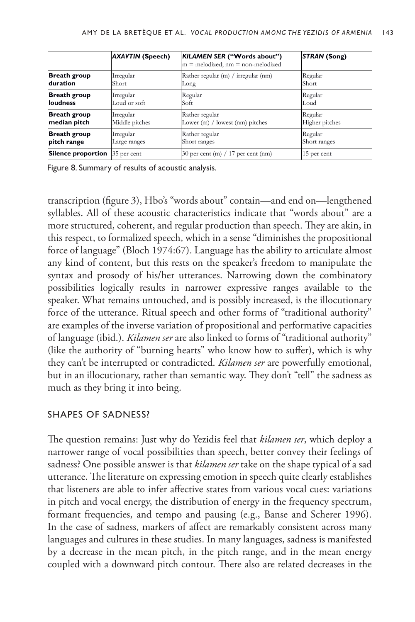|                                       | <b>AXAVTIN (Speech)</b> | KILAMEN SER ("Words about")<br>$m =$ melodized; $nm =$ non-melodized | <b>STRAN (Song)</b> |
|---------------------------------------|-------------------------|----------------------------------------------------------------------|---------------------|
| <b>Breath group</b>                   | Irregular               | Rather regular $(m)$ / irregular $(nm)$                              | Regular             |
| duration                              | Short                   | Long                                                                 | Short               |
| <b>Breath group</b>                   | Irregular               | Regular                                                              | Regular             |
| loudness                              | Loud or soft            | Soft                                                                 | Loud                |
| <b>Breath group</b>                   | Irregular               | Rather regular                                                       | Regular             |
| median pitch                          | Middle pitches          | Lower $(m)$ / lowest $(nm)$ pitches                                  | Higher pitches      |
| <b>Breath group</b>                   | Irregular               | Rather regular                                                       | Regular             |
| pitch range                           | Large ranges            | Short ranges                                                         | Short ranges        |
| <b>Silence proportion</b> 35 per cent |                         | 30 per cent (m) $/ 17$ per cent (nm)                                 | 15 per cent         |

Figure 8. Summary of results of acoustic analysis.

transcription (figure 3), Hbo's "words about" contain—and end on—lengthened syllables. All of these acoustic characteristics indicate that "words about" are a more structured, coherent, and regular production than speech. They are akin, in this respect, to formalized speech, which in a sense "diminishes the propositional force of language" (Bloch 1974:67). Language has the ability to articulate almost any kind of content, but this rests on the speaker's freedom to manipulate the syntax and prosody of his/her utterances. Narrowing down the combinatory possibilities logically results in narrower expressive ranges available to the speaker. What remains untouched, and is possibly increased, is the illocutionary force of the utterance. Ritual speech and other forms of "traditional authority" are examples of the inverse variation of propositional and performative capacities of language (ibid.). *Kilamen ser* are also linked to forms of "traditional authority" (like the authority of "burning hearts" who know how to suffer), which is why they can't be interrupted or contradicted. *Kilamen ser* are powerfully emotional, but in an illocutionary, rather than semantic way. They don't "tell" the sadness as much as they bring it into being.

## SHAPES OF SADNESS?

The question remains: Just why do Yezidis feel that *kilamen ser*, which deploy a narrower range of vocal possibilities than speech, better convey their feelings of sadness? One possible answer is that *kilamen ser* take on the shape typical of a sad utterance. The literature on expressing emotion in speech quite clearly establishes that listeners are able to infer affective states from various vocal cues: variations in pitch and vocal energy, the distribution of energy in the frequency spectrum, formant frequencies, and tempo and pausing (e.g., Banse and Scherer 1996). In the case of sadness, markers of affect are remarkably consistent across many languages and cultures in these studies. In many languages, sadness is manifested by a decrease in the mean pitch, in the pitch range, and in the mean energy coupled with a downward pitch contour. There also are related decreases in the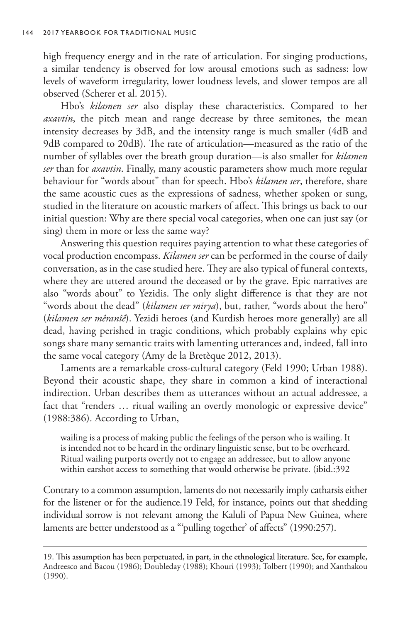high frequency energy and in the rate of articulation. For singing productions, a similar tendency is observed for low arousal emotions such as sadness: low levels of waveform irregularity, lower loudness levels, and slower tempos are all observed (Scherer et al. 2015).

Hbo's *kilamen ser* also display these characteristics. Compared to her *axavtin*, the pitch mean and range decrease by three semitones, the mean intensity decreases by 3dB, and the intensity range is much smaller (4dB and 9dB compared to 20dB). The rate of articulation—measured as the ratio of the number of syllables over the breath group duration—is also smaller for *kilamen ser* than for *axavtin*. Finally, many acoustic parameters show much more regular behaviour for "words about" than for speech. Hbo's *kilamen ser*, therefore, share the same acoustic cues as the expressions of sadness, whether spoken or sung, studied in the literature on acoustic markers of affect. This brings us back to our initial question: Why are there special vocal categories, when one can just say (or sing) them in more or less the same way?

Answering this question requires paying attention to what these categories of vocal production encompass. *Kilamen ser* can be performed in the course of daily conversation, as in the case studied here. They are also typical of funeral contexts, where they are uttered around the deceased or by the grave. Epic narratives are also "words about" to Yezidis. The only slight difference is that they are not "words about the dead" (*kilamen ser mirya*), but, rather, "words about the hero" (*kilamen ser mêranîê*). Yezidi heroes (and Kurdish heroes more generally) are all dead, having perished in tragic conditions, which probably explains why epic songs share many semantic traits with lamenting utterances and, indeed, fall into the same vocal category (Amy de la Bretèque 2012, 2013).

Laments are a remarkable cross-cultural category (Feld 1990; Urban 1988). Beyond their acoustic shape, they share in common a kind of interactional indirection. Urban describes them as utterances without an actual addressee, a fact that "renders … ritual wailing an overtly monologic or expressive device" (1988:386). According to Urban,

wailing is a process of making public the feelings of the person who is wailing. It is intended not to be heard in the ordinary linguistic sense, but to be overheard. Ritual wailing purports overtly not to engage an addressee, but to allow anyone within earshot access to something that would otherwise be private. (ibid.:392

Contrary to a common assumption, laments do not necessarily imply catharsis either for the listener or for the audience.19 Feld, for instance, points out that shedding individual sorrow is not relevant among the Kaluli of Papua New Guinea, where laments are better understood as a "'pulling together' of affects" (1990:257).

<sup>19.</sup> This assumption has been perpetuated, in part, in the ethnological literature. See, for example, Andreesco and Bacou (1986); Doubleday (1988); Khouri (1993); Tolbert (1990); and Xanthakou (1990).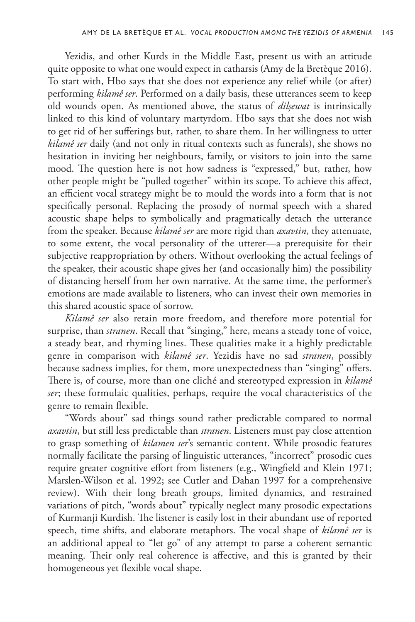Yezidis, and other Kurds in the Middle East, present us with an attitude quite opposite to what one would expect in catharsis (Amy de la Bretèque 2016). To start with, Hbo says that she does not experience any relief while (or after) performing *kilamê ser*. Performed on a daily basis, these utterances seem to keep old wounds open. As mentioned above, the status of *dilşewat* is intrinsically linked to this kind of voluntary martyrdom. Hbo says that she does not wish to get rid of her sufferings but, rather, to share them. In her willingness to utter *kilamê ser* daily (and not only in ritual contexts such as funerals), she shows no hesitation in inviting her neighbours, family, or visitors to join into the same mood. The question here is not how sadness is "expressed," but, rather, how other people might be "pulled together" within its scope. To achieve this affect, an efficient vocal strategy might be to mould the words into a form that is not specifically personal. Replacing the prosody of normal speech with a shared acoustic shape helps to symbolically and pragmatically detach the utterance from the speaker. Because *kilamê ser* are more rigid than *axavtin*, they attenuate, to some extent, the vocal personality of the utterer—a prerequisite for their subjective reappropriation by others. Without overlooking the actual feelings of the speaker, their acoustic shape gives her (and occasionally him) the possibility of distancing herself from her own narrative. At the same time, the performer's emotions are made available to listeners, who can invest their own memories in this shared acoustic space of sorrow.

*Kilamê ser* also retain more freedom, and therefore more potential for surprise, than *stranen*. Recall that "singing," here, means a steady tone of voice, a steady beat, and rhyming lines. These qualities make it a highly predictable genre in comparison with *kilamê ser*. Yezidis have no sad *stranen*, possibly because sadness implies, for them, more unexpectedness than "singing" offers. There is, of course, more than one cliché and stereotyped expression in *kilamê ser*; these formulaic qualities, perhaps, require the vocal characteristics of the genre to remain flexible.

"Words about" sad things sound rather predictable compared to normal *axavtin*, but still less predictable than *stranen*. Listeners must pay close attention to grasp something of *kilamen ser*'s semantic content. While prosodic features normally facilitate the parsing of linguistic utterances, "incorrect" prosodic cues require greater cognitive effort from listeners (e.g., Wingfield and Klein 1971; Marslen-Wilson et al. 1992; see Cutler and Dahan 1997 for a comprehensive review). With their long breath groups, limited dynamics, and restrained variations of pitch, "words about" typically neglect many prosodic expectations of Kurmanji Kurdish. The listener is easily lost in their abundant use of reported speech, time shifts, and elaborate metaphors. The vocal shape of *kilamê ser* is an additional appeal to "let go" of any attempt to parse a coherent semantic meaning. Their only real coherence is affective, and this is granted by their homogeneous yet flexible vocal shape.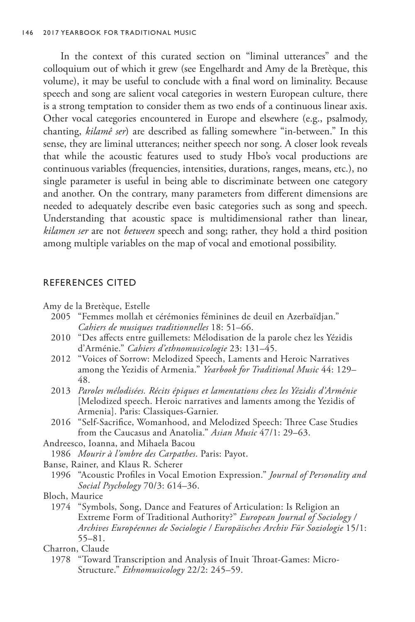In the context of this curated section on "liminal utterances" and the colloquium out of which it grew (see Engelhardt and Amy de la Bretèque, this volume), it may be useful to conclude with a final word on liminality. Because speech and song are salient vocal categories in western European culture, there is a strong temptation to consider them as two ends of a continuous linear axis. Other vocal categories encountered in Europe and elsewhere (e.g., psalmody, chanting, *kilamê ser*) are described as falling somewhere "in-between." In this sense, they are liminal utterances; neither speech nor song. A closer look reveals that while the acoustic features used to study Hbo's vocal productions are continuous variables (frequencies, intensities, durations, ranges, means, etc.), no single parameter is useful in being able to discriminate between one category and another. On the contrary, many parameters from different dimensions are needed to adequately describe even basic categories such as song and speech. Understanding that acoustic space is multidimensional rather than linear, *kilamen ser* are not *between* speech and song; rather, they hold a third position among multiple variables on the map of vocal and emotional possibility.

## REFERENCES CITED

Amy de la Bretèque, Estelle

- 2005 "Femmes mollah et cérémonies féminines de deuil en Azerbaïdjan." *Cahiers de musiques traditionnelles* 18: 51–66.
- 2010 "Des affects entre guillemets: Mélodisation de la parole chez les Yézidis d'Arménie." *Cahiers d'ethnomusicologie* 23: 131–45.
- 2012 "Voices of Sorrow: Melodized Speech, Laments and Heroic Narratives among the Yezidis of Armenia." *Yearbook for Traditional Music* 44: 129– 48.
- 2013 *Paroles mélodisées. Récits épiques et lamentations chez les Yézidis d'Arménie*  [Melodized speech. Heroic narratives and laments among the Yezidis of Armenia]. Paris: Classiques-Garnier.
- 2016 "Self-Sacrifice, Womanhood, and Melodized Speech: Three Case Studies from the Caucasus and Anatolia." *Asian Music* 47/1: 29–63.

Andreesco, Ioanna, and Mihaela Bacou

1986 *Mourir à l'ombre des Carpathes*. Paris: Payot.

Banse, Rainer, and Klaus R. Scherer

1996 "Acoustic Profiles in Vocal Emotion Expression." *Journal of Personality and Social Psychology* 70/3: 614–36.

## Bloch, Maurice

1974 "Symbols, Song, Dance and Features of Articulation: Is Religion an Extreme Form of Traditional Authority?" *European Journal of Sociology / Archives Européennes de Sociologie / Europäisches Archiv Für Soziologie* 15/1: 55–81.

#### Charron, Claude

1978 "Toward Transcription and Analysis of Inuit Throat-Games: Micro-Structure." *Ethnomusicology* 22/2: 245–59.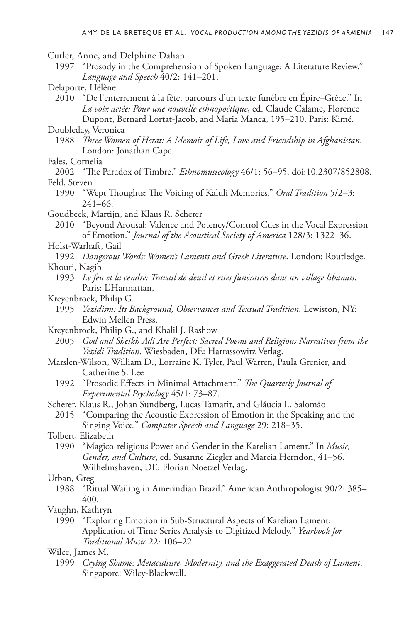Cutler, Anne, and Delphine Dahan.

- 1997 "Prosody in the Comprehension of Spoken Language: A Literature Review." *Language and Speech* 40/2: 141–201.
- Delaporte, Hélène

2010 "De l'enterrement à la fête, parcours d'un texte funèbre en Épire–Grèce." In *La voix actée: Pour une nouvelle ethnopoétique*, ed. Claude Calame, Florence Dupont, Bernard Lortat-Jacob, and Maria Manca, 195–210. Paris: Kimé.

Doubleday, Veronica

- 1988 *Three Women of Herat: A Memoir of Life, Love and Friendship in Afghanistan*. London: Jonathan Cape.
- Fales, Cornelia

2002 "The Paradox of Timbre." *Ethnomusicology* 46/1: 56–95. doi:10.2307/852808. Feld, Steven

- 1990 "Wept Thoughts: The Voicing of Kaluli Memories." *Oral Tradition* 5/2–3: 241–66.
- Goudbeek, Martijn, and Klaus R. Scherer

2010 "Beyond Arousal: Valence and Potency/Control Cues in the Vocal Expression of Emotion." *Journal of the Acoustical Society of America* 128/3: 1322–36.

Holst-Warhaft, Gail

1992 *Dangerous Words: Women's Laments and Greek Literature*. London: Routledge. Khouri, Nagib

- 1993 *Le feu et la cendre: Travail de deuil et rites funéraires dans un village libanais*. Paris: L'Harmattan.
- Kreyenbroek, Philip G.
	- 1995 *Yezidism: Its Background, Observances and Textual Tradition*. Lewiston, NY: Edwin Mellen Press.
- Kreyenbroek, Philip G., and Khalil J. Rashow
	- 2005 *God and Sheikh Adi Are Perfect: Sacred Poems and Religious Narratives from the Yezidi Tradition*. Wiesbaden, DE: Harrassowitz Verlag.
- Marslen-Wilson, William D., Lorraine K. Tyler, Paul Warren, Paula Grenier, and Catherine S. Lee
	- 1992 "Prosodic Effects in Minimal Attachment." *The Quarterly Journal of Experimental Psychology* 45/1: 73–87.
- Scherer, Klaus R., Johan Sundberg, Lucas Tamarit, and Gláucia L. Salomão
- 2015 "Comparing the Acoustic Expression of Emotion in the Speaking and the Singing Voice." *Computer Speech and Language* 29: 218–35.

Tolbert, Elizabeth

1990 "Magico-religious Power and Gender in the Karelian Lament." In *Music, Gender, and Culture*, ed. Susanne Ziegler and Marcia Herndon, 41–56. Wilhelmshaven, DE: Florian Noetzel Verlag.

#### Urban, Greg

- 1988 "Ritual Wailing in Amerindian Brazil." American Anthropologist 90/2: 385– 400.
- Vaughn, Kathryn
	- 1990 "Exploring Emotion in Sub-Structural Aspects of Karelian Lament: Application of Time Series Analysis to Digitized Melody." *Yearbook for Traditional Music* 22: 106–22.

#### Wilce, James M.

1999 *Crying Shame: Metaculture, Modernity, and the Exaggerated Death of Lament*. Singapore: Wiley-Blackwell.